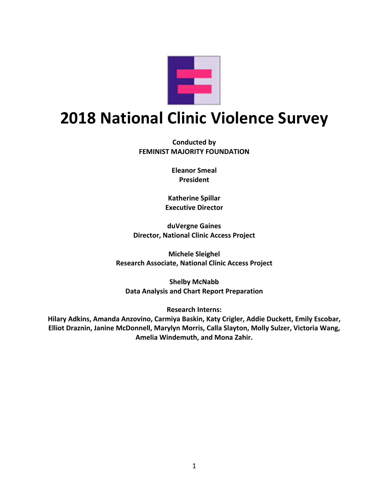

# **2018 National Clinic Violence Survey**

**Conducted by FEMINIST MAJORITY FOUNDATION**

> **Eleanor Smeal President**

**Katherine Spillar Executive Director**

**duVergne Gaines Director, National Clinic Access Project**

**Michele Sleighel Research Associate, National Clinic Access Project**

**Shelby McNabb Data Analysis and Chart Report Preparation**

**Research Interns:**

**Hilary Adkins, Amanda Anzovino, Carmiya Baskin, Katy Crigler, Addie Duckett, Emily Escobar, Elliot Draznin, Janine McDonnell, Marylyn Morris, Calla Slayton, Molly Sulzer, Victoria Wang, Amelia Windemuth, and Mona Zahir.**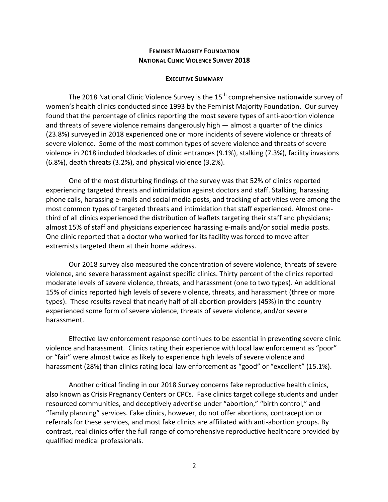### **FEMINIST MAJORITY FOUNDATION NATIONAL CLINIC VIOLENCE SURVEY 2018**

#### **EXECUTIVE SUMMARY**

The 2018 National Clinic Violence Survey is the  $15<sup>th</sup>$  comprehensive nationwide survey of women's health clinics conducted since 1993 by the Feminist Majority Foundation. Our survey found that the percentage of clinics reporting the most severe types of anti-abortion violence and threats of severe violence remains dangerously high — almost a quarter of the clinics (23.8%) surveyed in 2018 experienced one or more incidents of severe violence or threats of severe violence. Some of the most common types of severe violence and threats of severe violence in 2018 included blockades of clinic entrances (9.1%), stalking (7.3%), facility invasions (6.8%), death threats (3.2%), and physical violence (3.2%).

One of the most disturbing findings of the survey was that 52% of clinics reported experiencing targeted threats and intimidation against doctors and staff. Stalking, harassing phone calls, harassing e-mails and social media posts, and tracking of activities were among the most common types of targeted threats and intimidation that staff experienced. Almost onethird of all clinics experienced the distribution of leaflets targeting their staff and physicians; almost 15% of staff and physicians experienced harassing e-mails and/or social media posts. One clinic reported that a doctor who worked for its facility was forced to move after extremists targeted them at their home address.

Our 2018 survey also measured the concentration of severe violence, threats of severe violence, and severe harassment against specific clinics. Thirty percent of the clinics reported moderate levels of severe violence, threats, and harassment (one to two types). An additional 15% of clinics reported high levels of severe violence, threats, and harassment (three or more types). These results reveal that nearly half of all abortion providers (45%) in the country experienced some form of severe violence, threats of severe violence, and/or severe harassment.

Effective law enforcement response continues to be essential in preventing severe clinic violence and harassment. Clinics rating their experience with local law enforcement as "poor" or "fair" were almost twice as likely to experience high levels of severe violence and harassment (28%) than clinics rating local law enforcement as "good" or "excellent" (15.1%).

Another critical finding in our 2018 Survey concerns fake reproductive health clinics, also known as Crisis Pregnancy Centers or CPCs. Fake clinics target college students and under resourced communities, and deceptively advertise under "abortion," "birth control," and "family planning" services. Fake clinics, however, do not offer abortions, contraception or referrals for these services, and most fake clinics are affiliated with anti-abortion groups. By contrast, real clinics offer the full range of comprehensive reproductive healthcare provided by qualified medical professionals.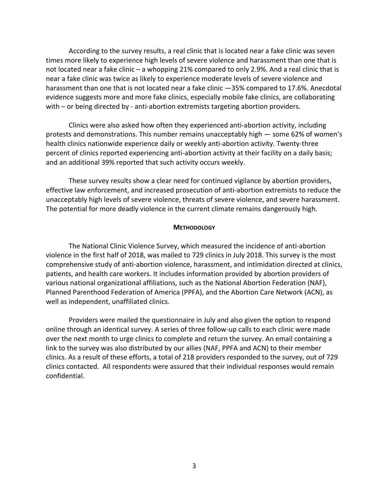According to the survey results, a real clinic that is located near a fake clinic was seven times more likely to experience high levels of severe violence and harassment than one that is not located near a fake clinic – a whopping 21% compared to only 2.9%. And a real clinic that is near a fake clinic was twice as likely to experience moderate levels of severe violence and harassment than one that is not located near a fake clinic —35% compared to 17.6%. Anecdotal evidence suggests more and more fake clinics, especially mobile fake clinics, are collaborating with – or being directed by - anti-abortion extremists targeting abortion providers.

Clinics were also asked how often they experienced anti-abortion activity, including protests and demonstrations. This number remains unacceptably high — some 62% of women's health clinics nationwide experience daily or weekly anti-abortion activity. Twenty-three percent of clinics reported experiencing anti-abortion activity at their facility on a daily basis; and an additional 39% reported that such activity occurs weekly.

These survey results show a clear need for continued vigilance by abortion providers, effective law enforcement, and increased prosecution of anti-abortion extremists to reduce the unacceptably high levels of severe violence, threats of severe violence, and severe harassment. The potential for more deadly violence in the current climate remains dangerously high.

#### **METHODOLOGY**

The National Clinic Violence Survey, which measured the incidence of anti-abortion violence in the first half of 2018, was mailed to 729 clinics in July 2018. This survey is the most comprehensive study of anti-abortion violence, harassment, and intimidation directed at clinics, patients, and health care workers. It includes information provided by abortion providers of various national organizational affiliations, such as the National Abortion Federation (NAF), Planned Parenthood Federation of America (PPFA), and the Abortion Care Network (ACN), as well as independent, unaffiliated clinics.

Providers were mailed the questionnaire in July and also given the option to respond online through an identical survey. A series of three follow-up calls to each clinic were made over the next month to urge clinics to complete and return the survey. An email containing a link to the survey was also distributed by our allies (NAF, PPFA and ACN) to their member clinics. As a result of these efforts, a total of 218 providers responded to the survey, out of 729 clinics contacted. All respondents were assured that their individual responses would remain confidential.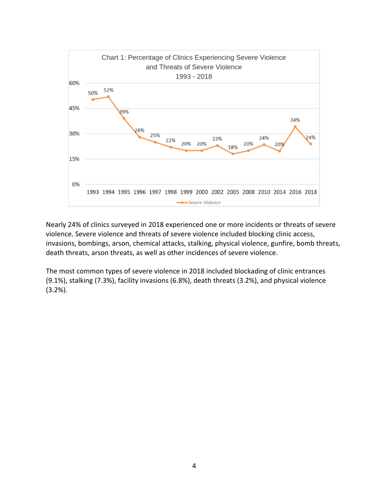

Nearly 24% of clinics surveyed in 2018 experienced one or more incidents or threats of severe violence. Severe violence and threats of severe violence included blocking clinic access, invasions, bombings, arson, chemical attacks, stalking, physical violence, gunfire, bomb threats, death threats, arson threats, as well as other incidences of severe violence.

The most common types of severe violence in 2018 included blockading of clinic entrances (9.1%), stalking (7.3%), facility invasions (6.8%), death threats (3.2%), and physical violence (3.2%).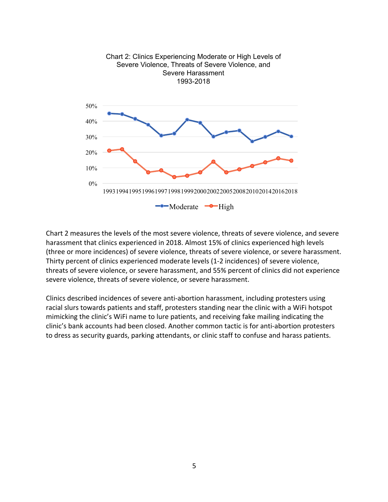

Chart 2 measures the levels of the most severe violence, threats of severe violence, and severe harassment that clinics experienced in 2018. Almost 15% of clinics experienced high levels (three or more incidences) of severe violence, threats of severe violence, or severe harassment. Thirty percent of clinics experienced moderate levels (1-2 incidences) of severe violence, threats of severe violence, or severe harassment, and 55% percent of clinics did not experience severe violence, threats of severe violence, or severe harassment.

Clinics described incidences of severe anti-abortion harassment, including protesters using racial slurs towards patients and staff, protesters standing near the clinic with a WiFi hotspot mimicking the clinic's WiFi name to lure patients, and receiving fake mailing indicating the clinic's bank accounts had been closed. Another common tactic is for anti-abortion protesters to dress as security guards, parking attendants, or clinic staff to confuse and harass patients.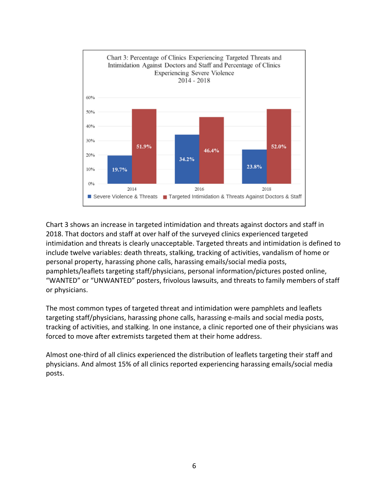

Chart 3 shows an increase in targeted intimidation and threats against doctors and staff in 2018. That doctors and staff at over half of the surveyed clinics experienced targeted intimidation and threats is clearly unacceptable. Targeted threats and intimidation is defined to include twelve variables: death threats, stalking, tracking of activities, vandalism of home or personal property, harassing phone calls, harassing emails/social media posts, pamphlets/leaflets targeting staff/physicians, personal information/pictures posted online, "WANTED" or "UNWANTED" posters, frivolous lawsuits, and threats to family members of staff or physicians.

The most common types of targeted threat and intimidation were pamphlets and leaflets targeting staff/physicians, harassing phone calls, harassing e-mails and social media posts, tracking of activities, and stalking. In one instance, a clinic reported one of their physicians was forced to move after extremists targeted them at their home address.

Almost one-third of all clinics experienced the distribution of leaflets targeting their staff and physicians. And almost 15% of all clinics reported experiencing harassing emails/social media posts.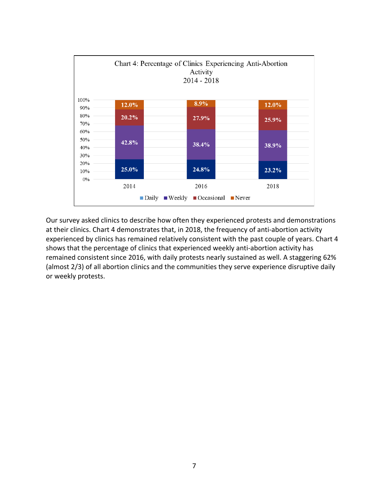

Our survey asked clinics to describe how often they experienced protests and demonstrations at their clinics. Chart 4 demonstrates that, in 2018, the frequency of anti-abortion activity experienced by clinics has remained relatively consistent with the past couple of years. Chart 4 shows that the percentage of clinics that experienced weekly anti-abortion activity has remained consistent since 2016, with daily protests nearly sustained as well. A staggering 62% (almost 2/3) of all abortion clinics and the communities they serve experience disruptive daily or weekly protests.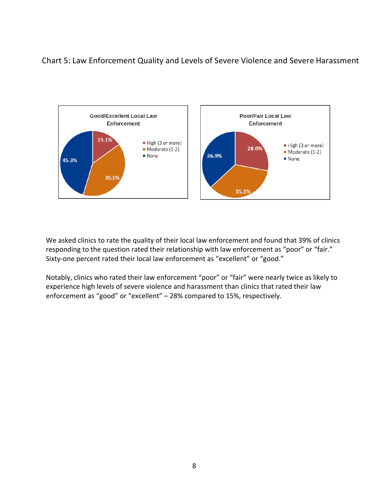# Chart 5: Law Enforcement Quality and Levels of Severe Violence and Severe Harassment



We asked clinics to rate the quality of their local law enforcement and found that 39% of clinics responding to the question rated their relationship with law enforcement as "poor" or "fair." Sixty-one percent rated their local law enforcement as "excellent" or "good."

Notably, clinics who rated their law enforcement "poor" or "fair" were nearly twice as likely to experience high levels of severe violence and harassment than clinics that rated their law enforcement as "good" or "excellent" – 28% compared to 15%, respectively.